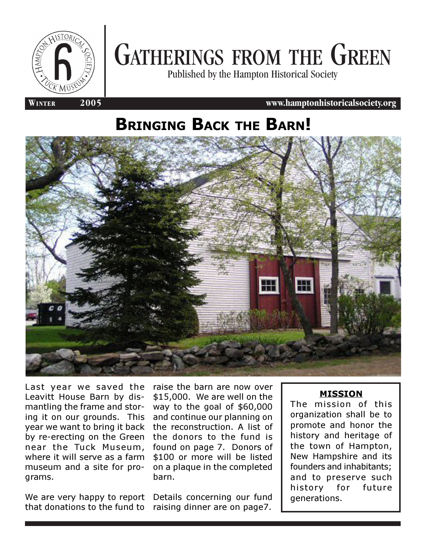

# GATHERINGS FROM THE GREEN

Published by the Hampton Historical Society

**WINTER 2005 www.hamptonhistoricalsociety.org**

# BRINGING BACK THE BARN!



Last year we saved the Leavitt House Barn by dismantling the frame and storing it on our grounds. This year we want to bring it back by re-erecting on the Green near the Tuck Museum, where it will serve as a farm museum and a site for programs.

We are very happy to report that donations to the fund to

raise the barn are now over \$15,000. We are well on the way to the goal of \$60,000 and continue our planning on the reconstruction. A list of the donors to the fund is found on page 7. Donors of \$100 or more will be listed on a plaque in the completed barn.

Details concerning our fund raising dinner are on page7.

#### MISSION

The mission of this organization shall be to promote and honor the history and heritage of the town of Hampton, New Hampshire and its founders and inhabitants; and to preserve such history for future generations.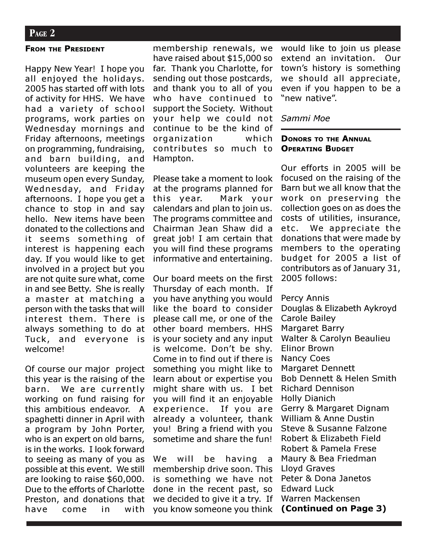#### FROM THE PRESIDENT

Happy New Year! I hope you all enjoyed the holidays. 2005 has started off with lots of activity for HHS. We have had a variety of school programs, work parties on Wednesday mornings and Friday afternoons, meetings on programming, fundraising, and barn building, and volunteers are keeping the museum open every Sunday, Wednesday, and Friday afternoons. I hope you get a chance to stop in and say hello. New items have been donated to the collections and it seems something of interest is happening each day. If you would like to get involved in a project but you are not quite sure what, come in and see Betty. She is really a master at matching a person with the tasks that will interest them. There is always something to do at Tuck, and everyone is welcome!

Of course our major project this year is the raising of the barn. We are currently working on fund raising for this ambitious endeavor. A spaghetti dinner in April with a program by John Porter, who is an expert on old barns, is in the works. I look forward to seeing as many of you as possible at this event. We still are looking to raise \$60,000. Due to the efforts of Charlotte Preston, and donations that have come in with

membership renewals, we have raised about \$15,000 so far. Thank you Charlotte, for sending out those postcards, and thank you to all of you who have continued to support the Society. Without your help we could not continue to be the kind of organization which contributes so much to Hampton.

Please take a moment to look at the programs planned for this year. Mark your calendars and plan to join us. The programs committee and Chairman Jean Shaw did a great job! I am certain that you will find these programs informative and entertaining.

Our board meets on the first Thursday of each month. If you have anything you would like the board to consider please call me, or one of the other board members. HHS is your society and any input is welcome. Don't be shy. Come in to find out if there is something you might like to learn about or expertise you might share with us. I bet you will find it an enjoyable experience. If you are already a volunteer, thank you! Bring a friend with you sometime and share the fun!

We will be having a membership drive soon. This is something we have not done in the recent past, so we decided to give it a try. If you know someone you think would like to join us please extend an invitation. Our town's history is something we should all appreciate, even if you happen to be a "new native".

#### Sammi Moe

#### DONORS TO THE ANNUAL OPERATING BUDGET

Our efforts in 2005 will be focused on the raising of the Barn but we all know that the work on preserving the collection goes on as does the costs of utilities, insurance, etc. We appreciate the donations that were made by members to the operating budget for 2005 a list of contributors as of January 31, 2005 follows:

Percy Annis Douglas & Elizabeth Aykroyd Carole Bailey Margaret Barry Walter & Carolyn Beaulieu Elinor Brown Nancy Coes Margaret Dennett Bob Dennett & Helen Smith Richard Dennison Holly Dianich Gerry & Margaret Dignam William & Anne Dustin Steve & Susanne Falzone Robert & Elizabeth Field Robert & Pamela Frese Maury & Bea Friedman Lloyd Graves Peter & Dona Janetos Edward Luck Warren Mackensen (Continued on Page 3)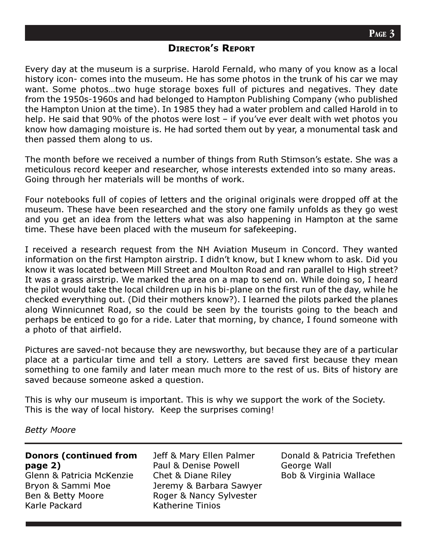### DIRECTOR'S REPORT

Every day at the museum is a surprise. Harold Fernald, who many of you know as a local history icon- comes into the museum. He has some photos in the trunk of his car we may want. Some photos…two huge storage boxes full of pictures and negatives. They date from the 1950s-1960s and had belonged to Hampton Publishing Company (who published the Hampton Union at the time). In 1985 they had a water problem and called Harold in to help. He said that 90% of the photos were lost – if you've ever dealt with wet photos you know how damaging moisture is. He had sorted them out by year, a monumental task and then passed them along to us.

The month before we received a number of things from Ruth Stimson's estate. She was a meticulous record keeper and researcher, whose interests extended into so many areas. Going through her materials will be months of work.

Four notebooks full of copies of letters and the original originals were dropped off at the museum. These have been researched and the story one family unfolds as they go west and you get an idea from the letters what was also happening in Hampton at the same time. These have been placed with the museum for safekeeping.

I received a research request from the NH Aviation Museum in Concord. They wanted information on the first Hampton airstrip. I didn't know, but I knew whom to ask. Did you know it was located between Mill Street and Moulton Road and ran parallel to High street? It was a grass airstrip. We marked the area on a map to send on. While doing so, I heard the pilot would take the local children up in his bi-plane on the first run of the day, while he checked everything out. (Did their mothers know?). I learned the pilots parked the planes along Winnicunnet Road, so the could be seen by the tourists going to the beach and perhaps be enticed to go for a ride. Later that morning, by chance, I found someone with a photo of that airfield.

Pictures are saved-not because they are newsworthy, but because they are of a particular place at a particular time and tell a story. Letters are saved first because they mean something to one family and later mean much more to the rest of us. Bits of history are saved because someone asked a question.

This is why our museum is important. This is why we support the work of the Society. This is the way of local history. Keep the surprises coming!

Betty Moore

#### Donors (continued from page 2)

Glenn & Patricia McKenzie Bryon & Sammi Moe Ben & Betty Moore Karle Packard

Jeff & Mary Ellen Palmer Paul & Denise Powell Chet & Diane Riley Jeremy & Barbara Sawyer Roger & Nancy Sylvester Katherine Tinios

Donald & Patricia Trefethen George Wall Bob & Virginia Wallace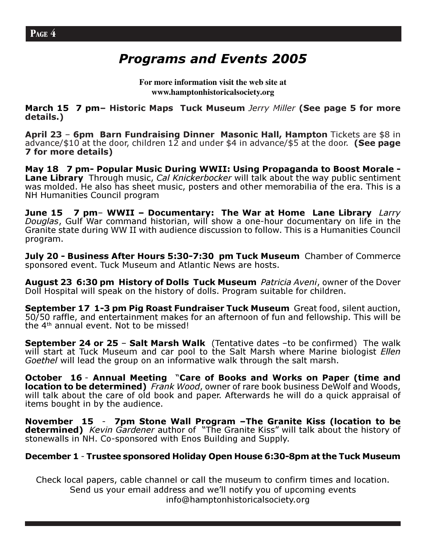# Programs and Events 2005

**For more information visit the web site at www.hamptonhistoricalsociety.org**

March 15 7 pm- Historic Maps Tuck Museum Jerry Miller (See page 5 for more details.)

April 23 – 6pm Barn Fundraising Dinner Masonic Hall, Hampton Tickets are \$8 in advance/\$10 at the door, children  $1\overline{2}$  and under \$4 in advance/\$5 at the door. (See page 7 for more details)

May 18 7 pm- Popular Music During WWII: Using Propaganda to Boost Morale - Lane Library Through music, Cal Knickerbocker will talk about the way public sentiment was molded. He also has sheet music, posters and other memorabilia of the era. This is a NH Humanities Council program

June 15  $\,$  7 pm- WWII – Documentary: The War at Home Lane Library Larry Douglas, Gulf War command historian, will show a one-hour documentary on life in the Granite state during WW II with audience discussion to follow. This is a Humanities Council program.

July 20 - Business After Hours 5:30-7:30 pm Tuck Museum Chamber of Commerce sponsored event. Tuck Museum and Atlantic News are hosts.

August 23 6:30 pm History of Dolls Tuck Museum Patricia Aveni, owner of the Dover Doll Hospital will speak on the history of dolls. Program suitable for children.

September 17 1-3 pm Pig Roast Fundraiser Tuck Museum Great food, silent auction, 50/50 raffle, and entertainment makes for an afternoon of fun and fellowship. This will be the 4th annual event. Not to be missed!

**September 24 or 25 - Salt Marsh Walk** (Tentative dates -to be confirmed) The walk will start at Tuck Museum and car pool to the Salt Marsh where Marine biologist *Ellen* Goethel will lead the group on an informative walk through the salt marsh.

October 16 - Annual Meeting "Care of Books and Works on Paper (time and location to be determined) Frank Wood, owner of rare book business DeWolf and Woods, will talk about the care of old book and paper. Afterwards he will do a quick appraisal of items bought in by the audience.

November 15 - 7pm Stone Wall Program –The Granite Kiss (location to be determined) Kevin Gardener author of "The Granite Kiss" will talk about the history of stonewalls in NH. Co-sponsored with Enos Building and Supply.

## December 1 - Trustee sponsored Holiday Open House 6:30-8pm at the Tuck Museum

Check local papers, cable channel or call the museum to confirm times and location. Send us your email address and we'll notify you of upcoming events info@hamptonhistoricalsociety.org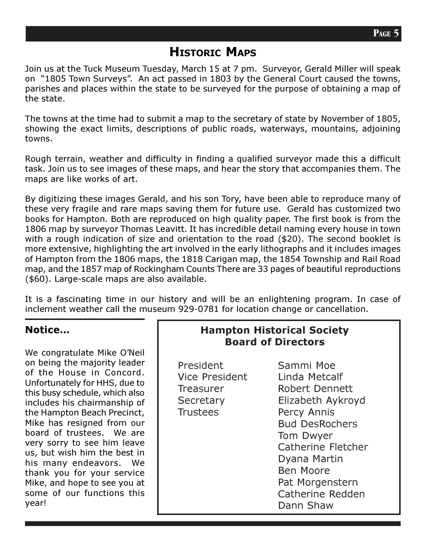# HISTORIC MAPS

Join us at the Tuck Museum Tuesday, March 15 at 7 pm. Surveyor, Gerald Miller will speak on "1805 Town Surveys". An act passed in 1803 by the General Court caused the towns, parishes and places within the state to be surveyed for the purpose of obtaining a map of the state.

The towns at the time had to submit a map to the secretary of state by November of 1805, showing the exact limits, descriptions of public roads, waterways, mountains, adjoining towns.

Rough terrain, weather and difficulty in finding a qualified surveyor made this a difficult task. Join us to see images of these maps, and hear the story that accompanies them. The maps are like works of art.

By digitizing these images Gerald, and his son Tory, have been able to reproduce many of these very fragile and rare maps saving them for future use. Gerald has customized two books for Hampton. Both are reproduced on high quality paper. The first book is from the 1806 map by surveyor Thomas Leavitt. It has incredible detail naming every house in town with a rough indication of size and orientation to the road (\$20). The second booklet is more extensive, highlighting the art involved in the early lithographs and it includes images of Hampton from the 1806 maps, the 1818 Carigan map, the 1854 Township and Rail Road map, and the 1857 map of Rockingham Counts There are 33 pages of beautiful reproductions (\$60). Large-scale maps are also available.

It is a fascinating time in our history and will be an enlightening program. In case of inclement weather call the museum 929-0781 for location change or cancellation.

## Notice…

We congratulate Mike O'Neil on being the majority leader of the House in Concord. Unfortunately for HHS, due to this busy schedule, which also includes his chairmanship of the Hampton Beach Precinct, Mike has resigned from our board of trustees. We are very sorry to see him leave us, but wish him the best in his many endeavors. We thank you for your service Mike, and hope to see you at some of our functions this year!

## Hampton Historical Society Board of Directors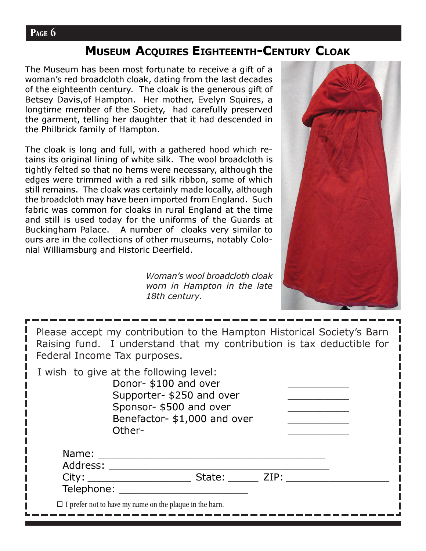## **PAGE 6**

# MUSEUM ACQUIRES EIGHTEENTH-CENTURY CLOAK

The Museum has been most fortunate to receive a gift of a woman's red broadcloth cloak, dating from the last decades of the eighteenth century. The cloak is the generous gift of Betsey Davis,of Hampton. Her mother, Evelyn Squires, a longtime member of the Society, had carefully preserved the garment, telling her daughter that it had descended in the Philbrick family of Hampton.

The cloak is long and full, with a gathered hood which retains its original lining of white silk. The wool broadcloth is tightly felted so that no hems were necessary, although the edges were trimmed with a red silk ribbon, some of which still remains. The cloak was certainly made locally, although the broadcloth may have been imported from England. Such fabric was common for cloaks in rural England at the time and still is used today for the uniforms of the Guards at Buckingham Palace. A number of cloaks very similar to ours are in the collections of other museums, notably Colonial Williamsburg and Historic Deerfield.

> Woman's wool broadcloth cloak worn in Hampton in the late 18th century.



| Please accept my contribution to the Hampton Historical Society's Barn |
|------------------------------------------------------------------------|
| Raising fund. I understand that my contribution is tax deductible for  |
| Federal Income Tax purposes.                                           |

I wish to give at the following level: Donor- \$100 and over Supporter- \$250 and over Sponsor- \$500 and over Benefactor- \$1,000 and over Other-Name: \_\_\_\_\_\_\_\_\_\_\_\_\_\_\_\_\_\_\_\_\_\_\_\_\_\_\_\_\_\_\_\_\_\_\_\_\_ Address: \_\_\_\_\_\_\_\_\_\_\_\_\_\_\_\_\_\_\_\_\_\_\_\_\_\_\_\_\_\_\_\_\_\_\_\_ City: \_\_\_\_\_\_\_\_\_\_\_\_\_\_\_\_\_ State: \_\_\_\_\_ ZIP: \_\_\_\_\_\_\_\_\_\_\_\_\_\_\_\_\_ Telephone: \_\_\_\_\_\_\_\_\_\_\_\_\_\_\_\_\_\_\_\_\_  $\Box$  I prefer not to have my name on the plaque in the barn.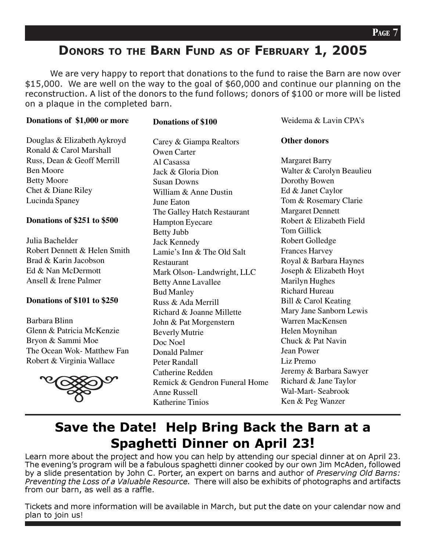# DONORS TO THE BARN FUND AS OF FEBRUARY 1, 2005

We are very happy to report that donations to the fund to raise the Barn are now over \$15,000. We are well on the way to the goal of \$60,000 and continue our planning on the reconstruction. A list of the donors to the fund follows; donors of \$100 or more will be listed on a plaque in the completed barn.

#### **Donations of \$1,000 or more**

#### **Donations of \$100**

Douglas & Elizabeth Aykroyd Ronald & Carol Marshall Russ, Dean & Geoff Merrill Ben Moore Betty Moore Chet & Diane Riley Lucinda Spaney

#### **Donations of \$251 to \$500**

Julia Bachelder Robert Dennett & Helen Smith Brad & Karin Jacobson Ed & Nan McDermott Ansell & Irene Palmer

#### **Donations of \$101 to \$250**

Barbara Blinn Glenn & Patricia McKenzie Bryon & Sammi Moe The Ocean Wok- Matthew Fan Robert & Virginia Wallace

![](_page_6_Picture_10.jpeg)

Carey & Giampa Realtors Owen Carter Al Casassa Jack & Gloria Dion Susan Downs William & Anne Dustin June Eaton The Galley Hatch Restaurant Hampton Eyecare Betty Jubb Jack Kennedy Lamie's Inn & The Old Salt Restaurant Mark Olson- Landwright, LLC Betty Anne Lavallee Bud Manley Russ & Ada Merrill Richard & Joanne Millette John & Pat Morgenstern Beverly Mutrie Doc Noel Donald Palmer Peter Randall Catherine Redden Remick & Gendron Funeral Home Anne Russell Katherine Tinios

Weidema & Lavin CPA's

#### **Other donors**

Margaret Barry Walter & Carolyn Beaulieu Dorothy Bowen Ed & Janet Caylor Tom & Rosemary Clarie Margaret Dennett Robert & Elizabeth Field Tom Gillick Robert Golledge Frances Harvey Royal & Barbara Haynes Joseph & Elizabeth Hoyt Marilyn Hughes Richard Hureau Bill & Carol Keating Mary Jane Sanborn Lewis Warren MacKensen Helen Moynihan Chuck & Pat Navin Jean Power Liz Premo Jeremy & Barbara Sawyer Richard & Jane Taylor Wal-Mart- Seabrook Ken & Peg Wanzer

# Save the Date! Help Bring Back the Barn at a Spaghetti Dinner on April 23!

Learn more about the project and how you can help by attending our special dinner at on April 23. The evening's program will be a fabulous spaghetti dinner cooked by our own Jim McAden, followed by a slide presentation by John C. Porter, an expert on barns and author of Preserving Old Barns: Preventing the Loss of a Valuable Resource. There will also be exhibits of photographs and artifacts from our barn, as well as a raffle.

Tickets and more information will be available in March, but put the date on your calendar now and plan to join us!